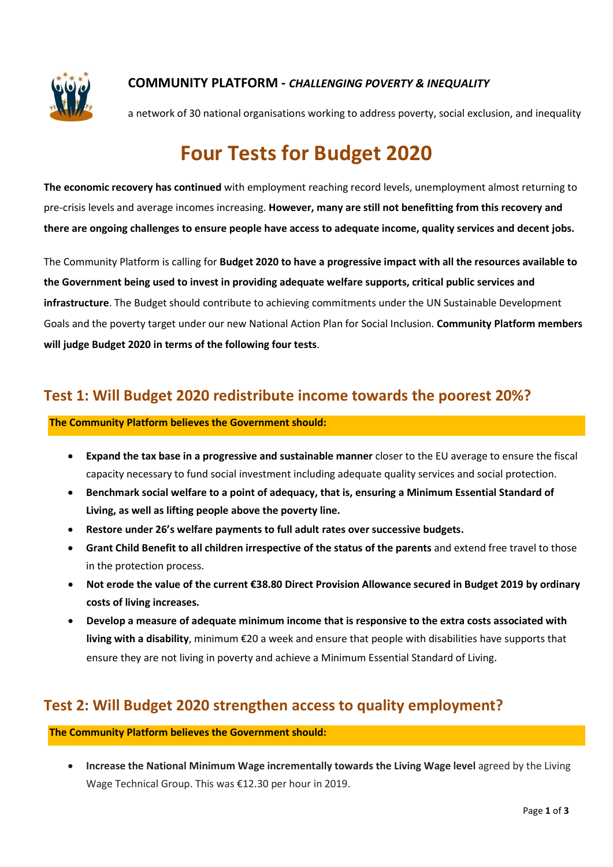

#### COMMUNITY PLATFORM - CHALLENGING POVERTY & INEQUALITY

a network of 30 national organisations working to address poverty, social exclusion, and inequality

# Four Tests for Budget 2020

The economic recovery has continued with employment reaching record levels, unemployment almost returning to pre-crisis levels and average incomes increasing. However, many are still not benefitting from this recovery and there are ongoing challenges to ensure people have access to adequate income, quality services and decent jobs.

The Community Platform is calling for Budget 2020 to have a progressive impact with all the resources available to the Government being used to invest in providing adequate welfare supports, critical public services and infrastructure. The Budget should contribute to achieving commitments under the UN Sustainable Development Goals and the poverty target under our new National Action Plan for Social Inclusion. Community Platform members will judge Budget 2020 in terms of the following four tests.

#### Test 1: Will Budget 2020 redistribute income towards the poorest 20%?

#### The Community Platform believes the Government should:

- Expand the tax base in a progressive and sustainable manner closer to the EU average to ensure the fiscal capacity necessary to fund social investment including adequate quality services and social protection.
- Benchmark social welfare to a point of adequacy, that is, ensuring a Minimum Essential Standard of Living, as well as lifting people above the poverty line.
- Restore under 26's welfare payments to full adult rates over successive budgets.
- Grant Child Benefit to all children irrespective of the status of the parents and extend free travel to those in the protection process.
- Not erode the value of the current €38.80 Direct Provision Allowance secured in Budget 2019 by ordinary costs of living increases.
- Develop a measure of adequate minimum income that is responsive to the extra costs associated with living with a disability, minimum €20 a week and ensure that people with disabilities have supports that ensure they are not living in poverty and achieve a Minimum Essential Standard of Living.

### Test 2: Will Budget 2020 strengthen access to quality employment?

#### The Community Platform believes the Government should:

 Increase the National Minimum Wage incrementally towards the Living Wage level agreed by the Living Wage Technical Group. This was €12.30 per hour in 2019.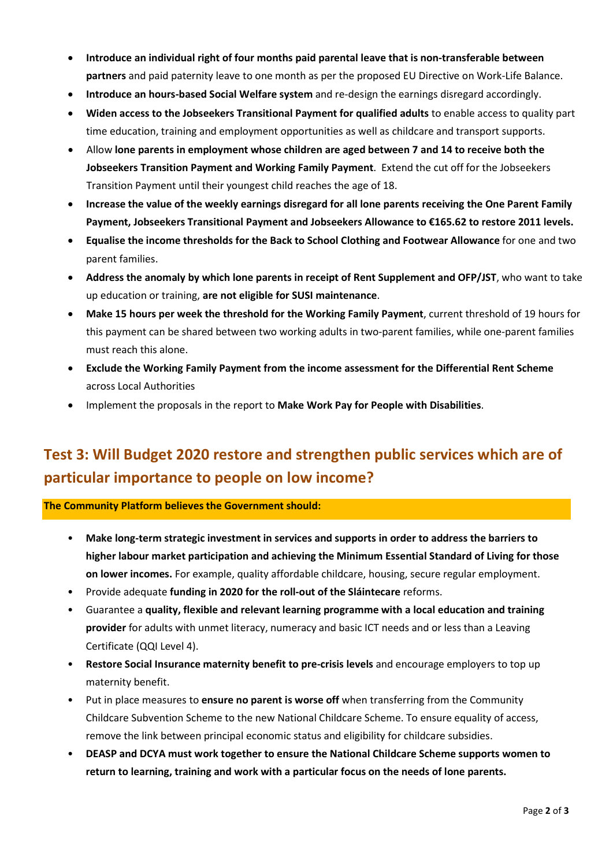- Introduce an individual right of four months paid parental leave that is non-transferable between partners and paid paternity leave to one month as per the proposed EU Directive on Work-Life Balance.
- Introduce an hours-based Social Welfare system and re-design the earnings disregard accordingly.
- Widen access to the Jobseekers Transitional Payment for qualified adults to enable access to quality part time education, training and employment opportunities as well as childcare and transport supports.
- Allow lone parents in employment whose children are aged between 7 and 14 to receive both the Jobseekers Transition Payment and Working Family Payment. Extend the cut off for the Jobseekers Transition Payment until their youngest child reaches the age of 18.
- Increase the value of the weekly earnings disregard for all lone parents receiving the One Parent Family Payment, Jobseekers Transitional Payment and Jobseekers Allowance to €165.62 to restore 2011 levels.
- Equalise the income thresholds for the Back to School Clothing and Footwear Allowance for one and two parent families.
- Address the anomaly by which lone parents in receipt of Rent Supplement and OFP/JST, who want to take up education or training, are not eligible for SUSI maintenance.
- Make 15 hours per week the threshold for the Working Family Payment, current threshold of 19 hours for this payment can be shared between two working adults in two-parent families, while one-parent families must reach this alone.
- Exclude the Working Family Payment from the income assessment for the Differential Rent Scheme across Local Authorities
- Implement the proposals in the report to Make Work Pay for People with Disabilities.

## Test 3: Will Budget 2020 restore and strengthen public services which are of particular importance to people on low income?

The Community Platform believes the Government should:

- Make long-term strategic investment in services and supports in order to address the barriers to higher labour market participation and achieving the Minimum Essential Standard of Living for those on lower incomes. For example, quality affordable childcare, housing, secure regular employment.
- Provide adequate funding in 2020 for the roll-out of the Sláintecare reforms.
- Guarantee a quality, flexible and relevant learning programme with a local education and training provider for adults with unmet literacy, numeracy and basic ICT needs and or less than a Leaving Certificate (QQI Level 4).
- Restore Social Insurance maternity benefit to pre-crisis levels and encourage employers to top up maternity benefit.
- Put in place measures to ensure no parent is worse off when transferring from the Community Childcare Subvention Scheme to the new National Childcare Scheme. To ensure equality of access, remove the link between principal economic status and eligibility for childcare subsidies.
- DEASP and DCYA must work together to ensure the National Childcare Scheme supports women to return to learning, training and work with a particular focus on the needs of lone parents.